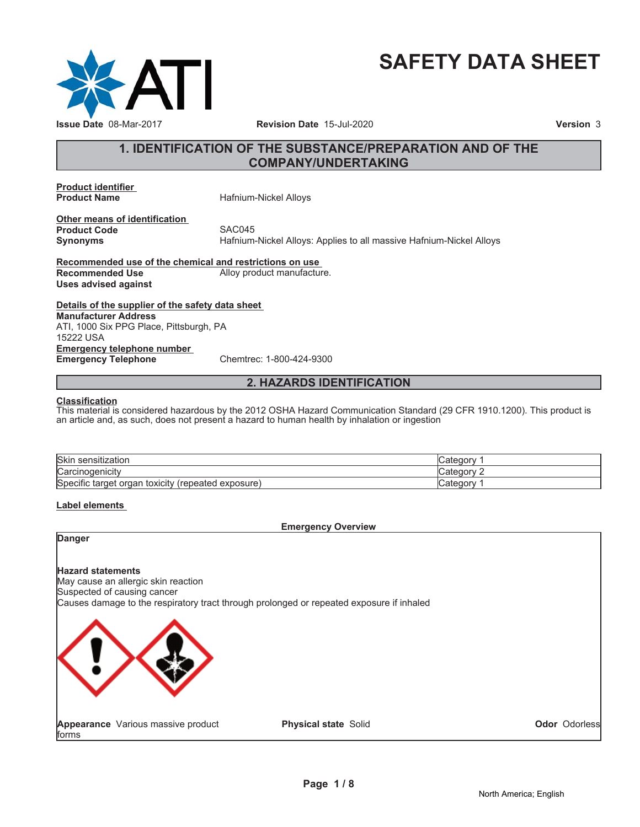

# **SAFETY DATA SHEET**

### **1. IDENTIFICATION OF THE SUBSTANCE/PREPARATION AND OF THE COMPANY/UNDERTAKING**

**Product identifier**

**Product Name** Hafnium-Nickel Alloys

**Other means of identification Product Code** SAC045<br> **Synonyms** Hafnium-

**Synonyms** Hafnium-Nickel Alloys: Applies to all massive Hafnium-Nickel Alloys

**Recommended use of the chemical and restrictions on use Recommended Use** Alloy product manufacture. **Uses advised against**

**Details of the supplier of the safety data sheet Emergency telephone number Emergency Telephone** Chemtrec: 1-800-424-9300 **Manufacturer Address** ATI, 1000 Six PPG Place, Pittsburgh, PA 15222 USA

### **2. HAZARDS IDENTIFICATION**

### **Classification**

This material is considered hazardous by the 2012 OSHA Hazard Communication Standard (29 CFR 1910.1200). This product is an article and, as such, does not present a hazard to human health by inhalation or ingestion

| <b>Skir</b><br>sensitization                                         |        |
|----------------------------------------------------------------------|--------|
| $\Gamma$ arcir<br>. <sub>'</sub> odenicity<br>ivalv.                 | atoaon |
| Specific<br>' exposure i<br>toxicity<br>(repeated<br>target<br>oraan | valeuc |

### **Label elements**

### **Emergency Overview**

### **Danger**

### **Hazard statements**

May cause an allergic skin reaction Suspected of causing cancer Causes damage to the respiratory tract through prolonged or repeated exposure if inhaled



**Appearance** Various massive product forms

**Physical state** Solid

**Odor** Odorless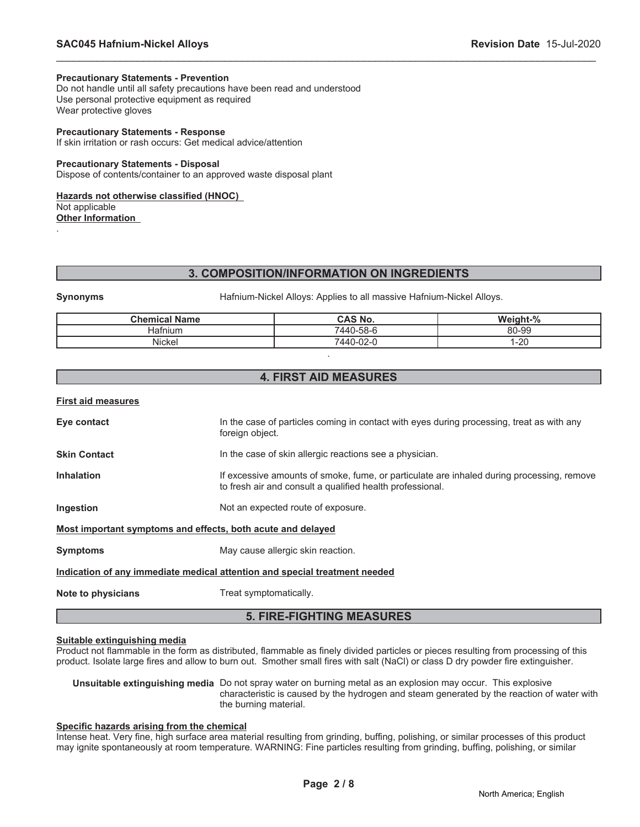### **Precautionary Statements - Prevention**

Do not handle until all safety precautions have been read and understood Use personal protective equipment as required Wear protective gloves

### **Precautionary Statements - Response**

If skin irritation or rash occurs: Get medical advice/attention

### **Precautionary Statements - Disposal**

Dispose of contents/container to an approved waste disposal plant

### **Hazards not otherwise classified (HNOC)**

Not applicable

.

**Other Information**

### **3. COMPOSITION/INFORMATION ON INGREDIENTS**

\_\_\_\_\_\_\_\_\_\_\_\_\_\_\_\_\_\_\_\_\_\_\_\_\_\_\_\_\_\_\_\_\_\_\_\_\_\_\_\_\_\_\_\_\_\_\_\_\_\_\_\_\_\_\_\_\_\_\_\_\_\_\_\_\_\_\_\_\_\_\_\_\_\_\_\_\_\_\_\_\_\_\_\_\_\_\_\_\_\_\_\_\_

**Synonyms** Hafnium-Nickel Alloys: Applies to all massive Hafnium-Nickel Alloys.

| <b>Chemical Name</b> | CAS No.   | Weight-%  |
|----------------------|-----------|-----------|
| Hafnium              | 7440-58-6 | 80-99     |
| Nickel               | 7440-02-0 | ററ<br>∟∠∙ |
|                      |           |           |

### **4. FIRST AID MEASURES**

|  |  |  | First aid measures |
|--|--|--|--------------------|
|--|--|--|--------------------|

**Eye contact** In the case of particles coming in contact with eyes during processing, treat as with any foreign object.

**Skin Contact In the case of skin allergic reactions see a physician.** 

**Inhalation** If excessive amounts of smoke, fume, or particulate are inhaled during processing, remove to fresh air and consult a qualified health professional.

**Ingestion** Not an expected route of exposure.

**Most important symptoms and effects, both acute and delayed**

**Symptoms** May cause allergic skin reaction.

### **Indication of any immediate medical attention and special treatment needed**

**Note to physicians** Treat symptomatically.

### **5. FIRE-FIGHTING MEASURES**

### **Suitable extinguishing media**

Product not flammable in the form as distributed, flammable as finely divided particles or pieces resulting from processing of this product. Isolate large fires and allow to burn out. Smother small fires with salt (NaCl) or class D dry powder fire extinguisher.

**Unsuitable extinguishing media** Do not spray water on burning metal as an explosion may occur. This explosive characteristic is caused by the hydrogen and steam generated by the reaction of water with the burning material.

### **Specific hazards arising from the chemical**

Intense heat. Very fine, high surface area material resulting from grinding, buffing, polishing, or similar processes of this product may ignite spontaneously at room temperature. WARNING: Fine particles resulting from grinding, buffing, polishing, or similar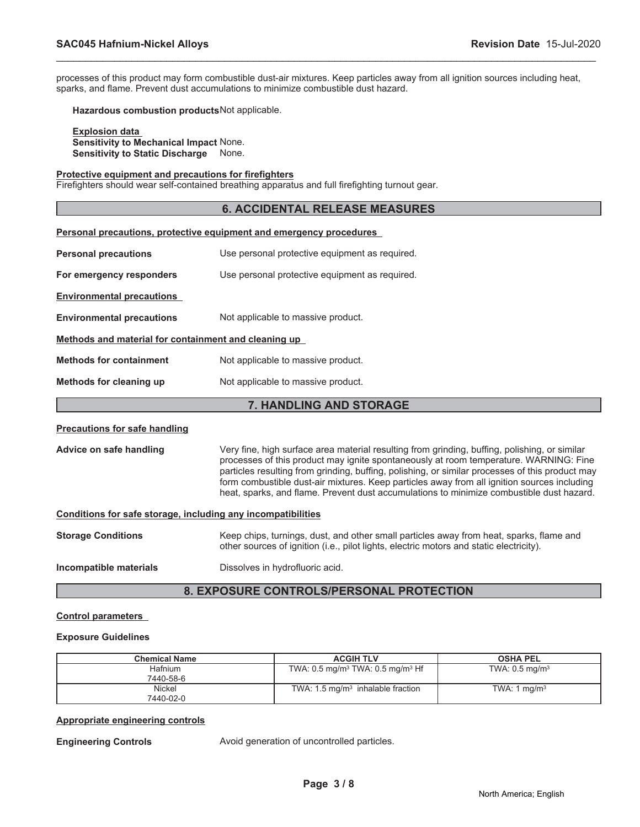processes of this product may form combustible dust-air mixtures. Keep particles away from all ignition sources including heat, sparks, and flame. Prevent dust accumulations to minimize combustible dust hazard.

\_\_\_\_\_\_\_\_\_\_\_\_\_\_\_\_\_\_\_\_\_\_\_\_\_\_\_\_\_\_\_\_\_\_\_\_\_\_\_\_\_\_\_\_\_\_\_\_\_\_\_\_\_\_\_\_\_\_\_\_\_\_\_\_\_\_\_\_\_\_\_\_\_\_\_\_\_\_\_\_\_\_\_\_\_\_\_\_\_\_\_\_\_

**Hazardous combustion products**Not applicable.

**Explosion data Sensitivity to Mechanical Impact** None. **Sensitivity to Static Discharge** None.

#### **Protective equipment and precautions for firefighters**

Firefighters should wear self-contained breathing apparatus and full firefighting turnout gear.

### **6. ACCIDENTAL RELEASE MEASURES**

| Personal precautions, protective equipment and emergency procedures    |                                                |  |  |
|------------------------------------------------------------------------|------------------------------------------------|--|--|
| <b>Personal precautions</b>                                            | Use personal protective equipment as required. |  |  |
| For emergency responders                                               | Use personal protective equipment as required. |  |  |
| <b>Environmental precautions</b>                                       |                                                |  |  |
| Not applicable to massive product.<br><b>Environmental precautions</b> |                                                |  |  |
| Methods and material for containment and cleaning up                   |                                                |  |  |
| <b>Methods for containment</b>                                         | Not applicable to massive product.             |  |  |
| Methods for cleaning up<br>Not applicable to massive product.          |                                                |  |  |
|                                                                        |                                                |  |  |

### **7. HANDLING AND STORAGE**

### **Precautions for safe handling**

**Advice on safe handling** Very fine, high surface area material resulting from grinding, buffing, polishing, or similar processes of this product may ignite spontaneously at room temperature. WARNING: Fine particles resulting from grinding, buffing, polishing, or similar processes of this product may form combustible dust-air mixtures. Keep particles away from all ignition sources including heat, sparks, and flame. Prevent dust accumulations to minimize combustible dust hazard.

### **Conditions for safe storage, including any incompatibilities**

| <b>Storage Conditions</b> | Keep chips, turnings, dust, and other small particles away from heat, sparks, flame and<br>other sources of ignition (i.e., pilot lights, electric motors and static electricity). |
|---------------------------|------------------------------------------------------------------------------------------------------------------------------------------------------------------------------------|
| Incompatible materials    | Dissolves in hydrofluoric acid.                                                                                                                                                    |

### **8. EXPOSURE CONTROLS/PERSONAL PROTECTION**

### **Control parameters**

### **Exposure Guidelines**

| <b>Chemical Name</b> | <b>ACGIH TLV</b>                                       | <b>OSHA PEL</b>              |
|----------------------|--------------------------------------------------------|------------------------------|
| Hafnium<br>7440-58-6 | TWA: $0.5 \text{ mg/m}^3$ TWA: $0.5 \text{ mg/m}^3$ Hf | TWA: $0.5$ mg/m <sup>3</sup> |
| Nickel<br>7440-02-0  | TWA: $1.5 \text{ mg/m}^3$ inhalable fraction           | TWA: 1 $mq/m3$               |

### **Appropriate engineering controls**

**Engineering Controls Avoid generation of uncontrolled particles.**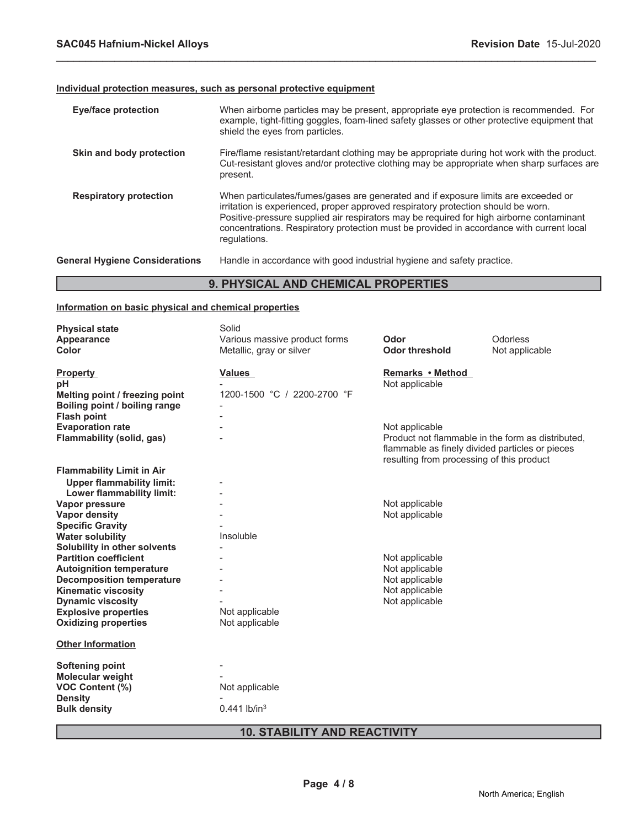Г

### **Individual protection measures, such as personal protective equipment**

|                                       | A BUVAIAAL AND AUFMALL<br>BBABLB-L                                                                                                                                                                                                                                                                                                                                              |
|---------------------------------------|---------------------------------------------------------------------------------------------------------------------------------------------------------------------------------------------------------------------------------------------------------------------------------------------------------------------------------------------------------------------------------|
| <b>General Hygiene Considerations</b> | Handle in accordance with good industrial hygiene and safety practice.                                                                                                                                                                                                                                                                                                          |
| <b>Respiratory protection</b>         | When particulates/fumes/gases are generated and if exposure limits are exceeded or<br>irritation is experienced, proper approved respiratory protection should be worn.<br>Positive-pressure supplied air respirators may be required for high airborne contaminant<br>concentrations. Respiratory protection must be provided in accordance with current local<br>regulations. |
| Skin and body protection              | Fire/flame resistant/retardant clothing may be appropriate during hot work with the product.<br>Cut-resistant gloves and/or protective clothing may be appropriate when sharp surfaces are<br>present.                                                                                                                                                                          |
| <b>Eye/face protection</b>            | When airborne particles may be present, appropriate eye protection is recommended. For<br>example, tight-fitting goggles, foam-lined safety glasses or other protective equipment that<br>shield the eyes from particles.                                                                                                                                                       |

\_\_\_\_\_\_\_\_\_\_\_\_\_\_\_\_\_\_\_\_\_\_\_\_\_\_\_\_\_\_\_\_\_\_\_\_\_\_\_\_\_\_\_\_\_\_\_\_\_\_\_\_\_\_\_\_\_\_\_\_\_\_\_\_\_\_\_\_\_\_\_\_\_\_\_\_\_\_\_\_\_\_\_\_\_\_\_\_\_\_\_\_\_

### **9. PHYSICAL AND CHEMICAL PROPERTIES**

### **Information on basic physical and chemical properties**

| <b>Physical state</b>            | Solid                         |                                           |                                                                                                      |
|----------------------------------|-------------------------------|-------------------------------------------|------------------------------------------------------------------------------------------------------|
| Appearance                       | Various massive product forms | Odor                                      | Odorless                                                                                             |
| Color                            | Metallic, gray or silver      | <b>Odor threshold</b>                     | Not applicable                                                                                       |
| <b>Property</b>                  | Values                        | Remarks • Method                          |                                                                                                      |
| рH                               |                               | Not applicable                            |                                                                                                      |
| Melting point / freezing point   | 1200-1500 °C / 2200-2700 °F   |                                           |                                                                                                      |
| Boiling point / boiling range    |                               |                                           |                                                                                                      |
| <b>Flash point</b>               |                               |                                           |                                                                                                      |
| <b>Evaporation rate</b>          |                               | Not applicable                            |                                                                                                      |
| Flammability (solid, gas)        |                               | resulting from processing of this product | Product not flammable in the form as distributed,<br>flammable as finely divided particles or pieces |
| <b>Flammability Limit in Air</b> |                               |                                           |                                                                                                      |
| <b>Upper flammability limit:</b> |                               |                                           |                                                                                                      |
| Lower flammability limit:        |                               |                                           |                                                                                                      |
| Vapor pressure                   |                               | Not applicable                            |                                                                                                      |
| <b>Vapor density</b>             |                               | Not applicable                            |                                                                                                      |
| <b>Specific Gravity</b>          |                               |                                           |                                                                                                      |
| <b>Water solubility</b>          | Insoluble                     |                                           |                                                                                                      |
| Solubility in other solvents     |                               |                                           |                                                                                                      |
| <b>Partition coefficient</b>     |                               | Not applicable                            |                                                                                                      |
| <b>Autoignition temperature</b>  |                               | Not applicable                            |                                                                                                      |
| <b>Decomposition temperature</b> |                               | Not applicable                            |                                                                                                      |
| <b>Kinematic viscosity</b>       |                               | Not applicable                            |                                                                                                      |
| <b>Dynamic viscosity</b>         |                               | Not applicable                            |                                                                                                      |
| <b>Explosive properties</b>      | Not applicable                |                                           |                                                                                                      |
| <b>Oxidizing properties</b>      | Not applicable                |                                           |                                                                                                      |
| <b>Other Information</b>         |                               |                                           |                                                                                                      |
| <b>Softening point</b>           |                               |                                           |                                                                                                      |
| <b>Molecular weight</b>          |                               |                                           |                                                                                                      |
| <b>VOC Content (%)</b>           | Not applicable                |                                           |                                                                                                      |
| <b>Density</b>                   |                               |                                           |                                                                                                      |
| <b>Bulk density</b>              | $0.441$ lb/in <sup>3</sup>    |                                           |                                                                                                      |
|                                  |                               |                                           |                                                                                                      |

### **10. STABILITY AND REACTIVITY**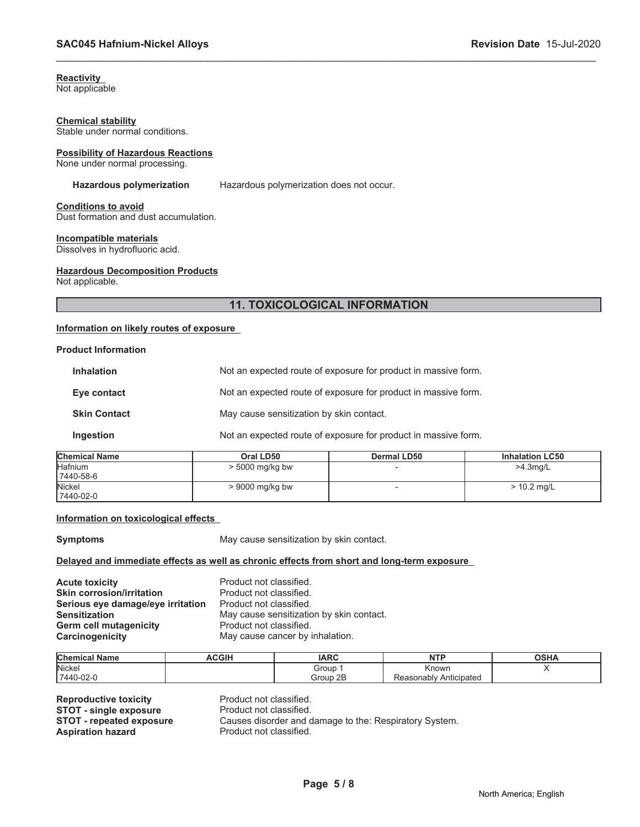### **Reactivity**

Not applicable

### **Chemical stability**

Stable under normal conditions.

### **Possibility of Hazardous Reactions**

None under normal processing.

Hazardous polymerization Hazardous polymerization does not occur.

\_\_\_\_\_\_\_\_\_\_\_\_\_\_\_\_\_\_\_\_\_\_\_\_\_\_\_\_\_\_\_\_\_\_\_\_\_\_\_\_\_\_\_\_\_\_\_\_\_\_\_\_\_\_\_\_\_\_\_\_\_\_\_\_\_\_\_\_\_\_\_\_\_\_\_\_\_\_\_\_\_\_\_\_\_\_\_\_\_\_\_\_\_

## **Conditions to avoid**

Dust formation and dust accumulation.

### **Incompatible materials**

Dissolves in hydrofluoric acid.

### **Hazardous Decomposition Products**

Not applicable.

### **11. TOXICOLOGICAL INFORMATION**

### **Information on likely routes of exposure**

### **Product Information**

| emical Name         | Oral LD50                                                      | Dermal LD50 | <b>Inhalation LC50</b> |  |
|---------------------|----------------------------------------------------------------|-------------|------------------------|--|
| Ingestion           | Not an expected route of exposure for product in massive form. |             |                        |  |
| <b>Skin Contact</b> | May cause sensitization by skin contact.                       |             |                        |  |
| Eye contact         | Not an expected route of exposure for product in massive form. |             |                        |  |
| <b>Inhalation</b>   | Not an expected route of exposure for product in massive form. |             |                        |  |

| <b>Chemical Name</b> | Oral LD50         | <b>Dermal LD50</b> | <b>Inhalation LC50</b> |
|----------------------|-------------------|--------------------|------------------------|
| lHafnium             | $> 5000$ mg/kg bw |                    | $>4.3$ ma/L            |
| 7440-58-6            |                   |                    |                        |
| <b>Nickel</b>        | > 9000 mg/kg bw   |                    | > 10.2 mg/L            |
| 7440-02-0            |                   |                    |                        |

### **Information on toxicological effects**

**Symptoms** May cause sensitization by skin contact.

### **Delayed and immediate effects as well as chronic effects from short and long-term exposure**

**Acute toxicity**<br> **Acute toxicity**<br> **Skin corrosion/irritation**<br> **Product not classified. Skin corrosion/irritation Serious eye damage/eye irritation** Product not classified. **Germ cell mutagenicity** Product not classified. **Carcinogenicity** May cause cancer by inhalation.

**Sensitization** May cause sensitization by skin contact.

| <b>Chemical Name</b> | <b>ACGIH</b> | <b>IARC</b> | <b>NTD</b><br>.        | <b>OSHA</b> |
|----------------------|--------------|-------------|------------------------|-------------|
| Nickel               |              | Group       | ≺nown                  |             |
| 7440-02-0            |              | 2E<br>Group | Reasonably Anticipated |             |

**Reproductive toxicity example 3 Product not classified.**<br> **STOT - single exposure** Product not classified. **STOT - single exposure<br>STOT - repeated exposure Aspiration hazard Product not classified.** 

Causes disorder and damage to the: Respiratory System.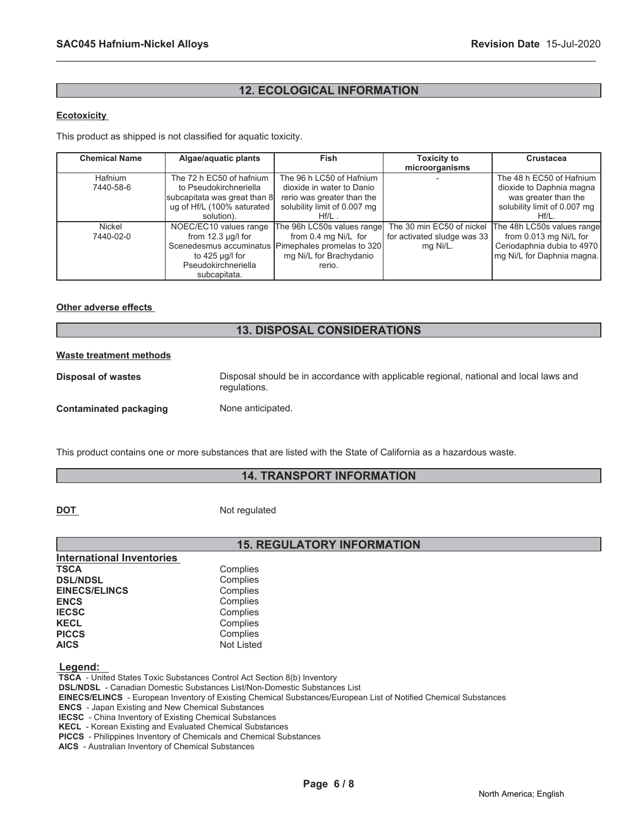### **12. ECOLOGICAL INFORMATION**

\_\_\_\_\_\_\_\_\_\_\_\_\_\_\_\_\_\_\_\_\_\_\_\_\_\_\_\_\_\_\_\_\_\_\_\_\_\_\_\_\_\_\_\_\_\_\_\_\_\_\_\_\_\_\_\_\_\_\_\_\_\_\_\_\_\_\_\_\_\_\_\_\_\_\_\_\_\_\_\_\_\_\_\_\_\_\_\_\_\_\_\_\_

### **Ecotoxicity**

This product as shipped is not classified for aquatic toxicity.

| <b>Chemical Name</b>        | Algae/aquatic plants                                       | Fish                                                       | <b>Toxicity to</b><br>microorganisms | <b>Crustacea</b>                                     |
|-----------------------------|------------------------------------------------------------|------------------------------------------------------------|--------------------------------------|------------------------------------------------------|
| <b>Hafnium</b><br>7440-58-6 | The 72 h EC50 of hafnium<br>to Pseudokirchneriella         | The 96 h LC50 of Hafnium<br>dioxide in water to Danio      |                                      | The 48 h EC50 of Hafnium<br>dioxide to Daphnia magna |
|                             | subcapitata was great than 8<br>ug of Hf/L (100% saturated | rerio was greater than the<br>solubility limit of 0.007 mg |                                      | was greater than the<br>solubility limit of 0.007 mg |
|                             | solution).                                                 | $Hf/L$ .                                                   |                                      | $Hf/L$ .                                             |
| Nickel                      | NOEC/EC10 values range                                     | The 96h LC50s values range                                 | The 30 min EC50 of nickel            | The 48h LC50s values range                           |
| 7440-02-0                   | from $12.3 \mu q/l$ for                                    | from 0.4 mg Ni/L for                                       | for activated sludge was 33          | from 0.013 mg Ni/L for                               |
|                             |                                                            | Scenedesmus accuminatus Pimephales promelas to 320         | mg Ni/L.                             | Ceriodaphnia dubia to 4970                           |
|                             | to $425$ µg/l for                                          | mg Ni/L for Brachydanio                                    |                                      | mg Ni/L for Daphnia magna.                           |
|                             | Pseudokirchneriella                                        | rerio.                                                     |                                      |                                                      |
|                             | subcapitata.                                               |                                                            |                                      |                                                      |

### **Other adverse effects**

### **13. DISPOSAL CONSIDERATIONS**

## **Waste treatment methods Disposal of wastes** Disposal should be in accordance with applicable regional, national and local laws and regulations. **Contaminated packaging Mone anticipated.**

This product contains one or more substances that are listed with the State of California as a hazardous waste.

### **14. TRANSPORT INFORMATION**

**DOT** Not regulated

### **15. REGULATORY INFORMATION**

| Complies          |
|-------------------|
| Complies          |
| Complies          |
| Complies          |
| Complies          |
| Complies          |
| Complies          |
| <b>Not Listed</b> |
|                   |

 **Legend:** 

 **TSCA** - United States Toxic Substances Control Act Section 8(b) Inventory

 **DSL/NDSL** - Canadian Domestic Substances List/Non-Domestic Substances List

 **EINECS/ELINCS** - European Inventory of Existing Chemical Substances/European List of Notified Chemical Substances

 **ENCS** - Japan Existing and New Chemical Substances

 **IECSC** - China Inventory of Existing Chemical Substances

 **KECL** - Korean Existing and Evaluated Chemical Substances

 **PICCS** - Philippines Inventory of Chemicals and Chemical Substances

 **AICS** - Australian Inventory of Chemical Substances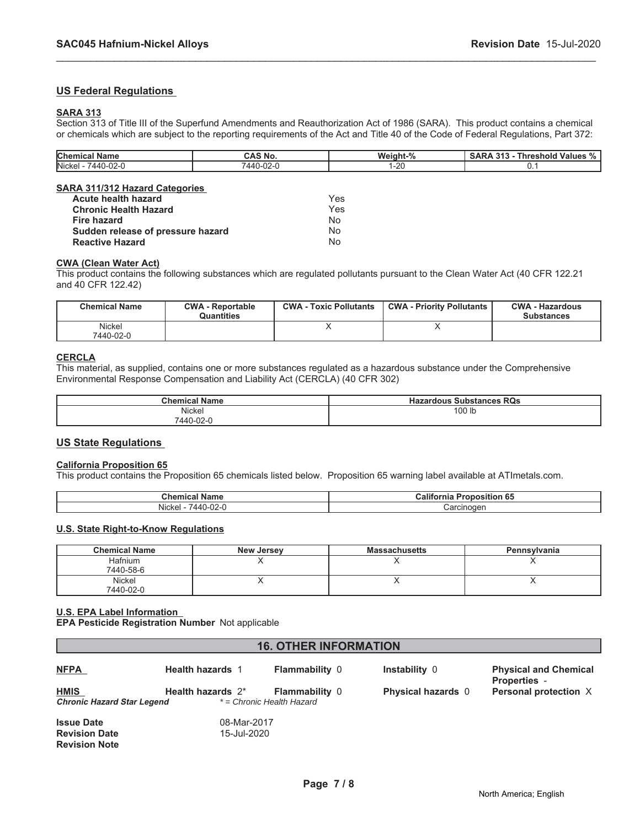### **US Federal Regulations**

### **SARA 313**

Section 313 of Title III of the Superfund Amendments and Reauthorization Act of 1986 (SARA). This product contains a chemical or chemicals which are subject to the reporting requirements of the Act and Title 40 of the Code of Federal Regulations, Part 372:

\_\_\_\_\_\_\_\_\_\_\_\_\_\_\_\_\_\_\_\_\_\_\_\_\_\_\_\_\_\_\_\_\_\_\_\_\_\_\_\_\_\_\_\_\_\_\_\_\_\_\_\_\_\_\_\_\_\_\_\_\_\_\_\_\_\_\_\_\_\_\_\_\_\_\_\_\_\_\_\_\_\_\_\_\_\_\_\_\_\_\_\_\_

| <b>Chemical Name</b>                  | CAS No.   | Weight-% | <b>SARA 313 - Threshold Values %</b> |
|---------------------------------------|-----------|----------|--------------------------------------|
| Nickel - 7440-02-0                    | 7440-02-0 | $1 - 20$ |                                      |
| <b>SARA 311/312 Hazard Categories</b> |           |          |                                      |
| Acute health hazard                   |           | Yes      |                                      |
| <b>Chronic Health Hazard</b>          |           | Yes      |                                      |
| Fire hazard                           |           | No       |                                      |
| Sudden release of pressure hazard     |           | No       |                                      |

### **CWA (Clean Water Act)**

**Reactive Hazard** No

This product contains the following substances which are regulated pollutants pursuant to the Clean Water Act (40 CFR 122.21 and 40 CFR 122.42)

| <b>Chemical Name</b> | <b>CWA - Reportable</b><br>Quantities | <b>CWA - Toxic Pollutants</b> | <b>CWA - Priority Pollutants</b> | <b>CWA - Hazardous</b><br><b>Substances</b> |
|----------------------|---------------------------------------|-------------------------------|----------------------------------|---------------------------------------------|
| Nickel<br>7440-02-0  |                                       |                               |                                  |                                             |

### **CERCLA**

This material, as supplied, contains one or more substances regulated as a hazardous substance under the Comprehensive Environmental Response Compensation and Liability Act (CERCLA) (40 CFR 302)

| <b>Chemical Name</b> | <b>Substances RQs</b><br>Hazardous |
|----------------------|------------------------------------|
| Nickel               | 100 lb                             |
| 7440-02-L            |                                    |

### **US State Regulations**

### **California Proposition 65**

This product contains the Proposition 65 chemicals listed below. Proposition 65 warning label available at ATImetals.com.

| $\sim$<br><b>Name</b><br>Chemical                  | .<br>65<br><b>Proposition</b><br>California |  |
|----------------------------------------------------|---------------------------------------------|--|
| .<br>$\sim$<br>$AA\Gamma$<br>Nicke<br>∵ ا−∠∪<br>г. | Carcinogen                                  |  |

### **U.S. State Right-to-Know Regulations**

| <b>Chemical Name</b> | <b>New Jersey</b> | <b>Massachusetts</b> | Pennsylvania |
|----------------------|-------------------|----------------------|--------------|
| <b>Hafnium</b>       |                   |                      |              |
| 7440-58-6            |                   |                      |              |
| Nickel               |                   |                      |              |
| 7440-02-0            |                   |                      |              |

### **U.S. EPA Label Information**

**EPA Pesticide Registration Number** Not applicable

| <b>16. OTHER INFORMATION</b>                                                                    |                         |                                                    |                           |                                                     |  |
|-------------------------------------------------------------------------------------------------|-------------------------|----------------------------------------------------|---------------------------|-----------------------------------------------------|--|
| <b>NFPA</b>                                                                                     | <b>Health hazards 1</b> | <b>Flammability 0</b>                              | Instability 0             | <b>Physical and Chemical</b><br><b>Properties -</b> |  |
| <b>HMIS</b><br><b>Chronic Hazard Star Legend</b>                                                | Health hazards 2*       | <b>Flammability 0</b><br>* = Chronic Health Hazard | <b>Physical hazards</b> 0 | Personal protection X                               |  |
| 08-Mar-2017<br><b>Issue Date</b><br>15-Jul-2020<br><b>Revision Date</b><br><b>Revision Note</b> |                         |                                                    |                           |                                                     |  |